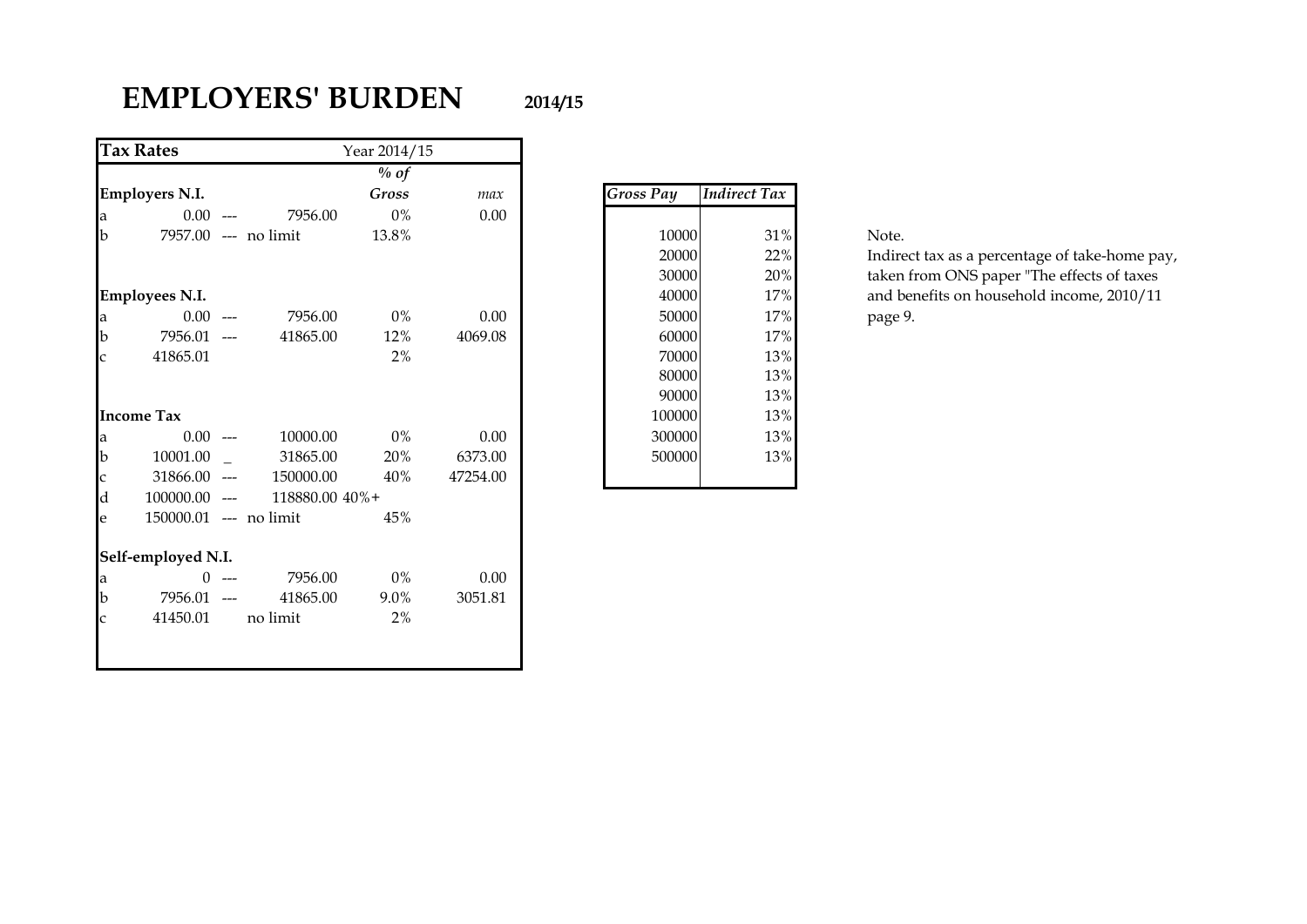# **EMPLOYERS' BURDEN 2014/15**

|              | <b>Tax Rates</b>       |                | Year 2014/15 |          |                  |                     |
|--------------|------------------------|----------------|--------------|----------|------------------|---------------------|
|              |                        |                | $%$ of       |          |                  |                     |
|              | <b>Employers N.I.</b>  |                | Gross        | max      | <b>Gross Pay</b> | <b>Indirect Tax</b> |
| a            | $0.00$ ---             | 7956.00        | $0\%$        | 0.00     |                  |                     |
| $\mathbf b$  | 7957.00 --- no limit   |                | 13.8%        |          | 10000            | 31%                 |
|              |                        |                |              |          | 20000            | 22%                 |
|              |                        |                |              |          | 30000            | 20%                 |
|              | <b>Employees N.I.</b>  |                |              |          | 40000            | 17%                 |
| a            | $0.00$ ---             | 7956.00        | $0\%$        | 0.00     | 50000            | 17%                 |
| $\mathbf b$  | 7956.01 ---            | 41865.00       | 12%          | 4069.08  | 60000            | 17%                 |
| $\mathsf{C}$ | 41865.01               |                | 2%           |          | 70000            | 13%                 |
|              |                        |                |              |          | 80000            | 13%                 |
|              |                        |                |              |          | 90000            | 13%                 |
|              | <b>Income Tax</b>      |                |              |          | 100000           | 13%                 |
| a            | $0.00$ ---             | 10000.00       | $0\%$        | 0.00     | 300000           | 13%                 |
| $\mathbf b$  | 10001.00               | 31865.00       | 20%          | 6373.00  | 500000           | 13%                 |
| $\mathbf c$  | $31866.00$ ---         | 150000.00      | 40%          | 47254.00 |                  |                     |
| $\mathbf d$  | $100000.00$ ---        | 118880.00 40%+ |              |          |                  |                     |
| e            | 150000.01 --- no limit |                | 45%          |          |                  |                     |
|              | Self-employed N.I.     |                |              |          |                  |                     |
| a            | $0 - -$                | 7956.00        | $0\%$        | $0.00\,$ |                  |                     |
| $\mathbf b$  | 7956.01 ---            | 41865.00       | 9.0%         | 3051.81  |                  |                     |
| $\mathsf{C}$ | 41450.01               | no limit       | 2%           |          |                  |                     |
|              |                        |                |              |          |                  |                     |

| Gross Pay | Indirect Tax |
|-----------|--------------|
|           |              |
| 10000     | 31%          |
| 20000     | 22%          |
| 30000     | 20%          |
| 40000     | 17%          |
| 50000     | 17%          |
| 60000     | 17%          |
| 70000     | 13%          |
| 80000     | 13%          |
| 90000     | 13%          |
| 100000    | 13%          |
| 300000    | 13%          |
| 500000    | 13%          |
|           |              |

Indirect tax as a percentage of take-home pay, taken from ONS paper "The effects of taxes and benefits on household income, 2010/11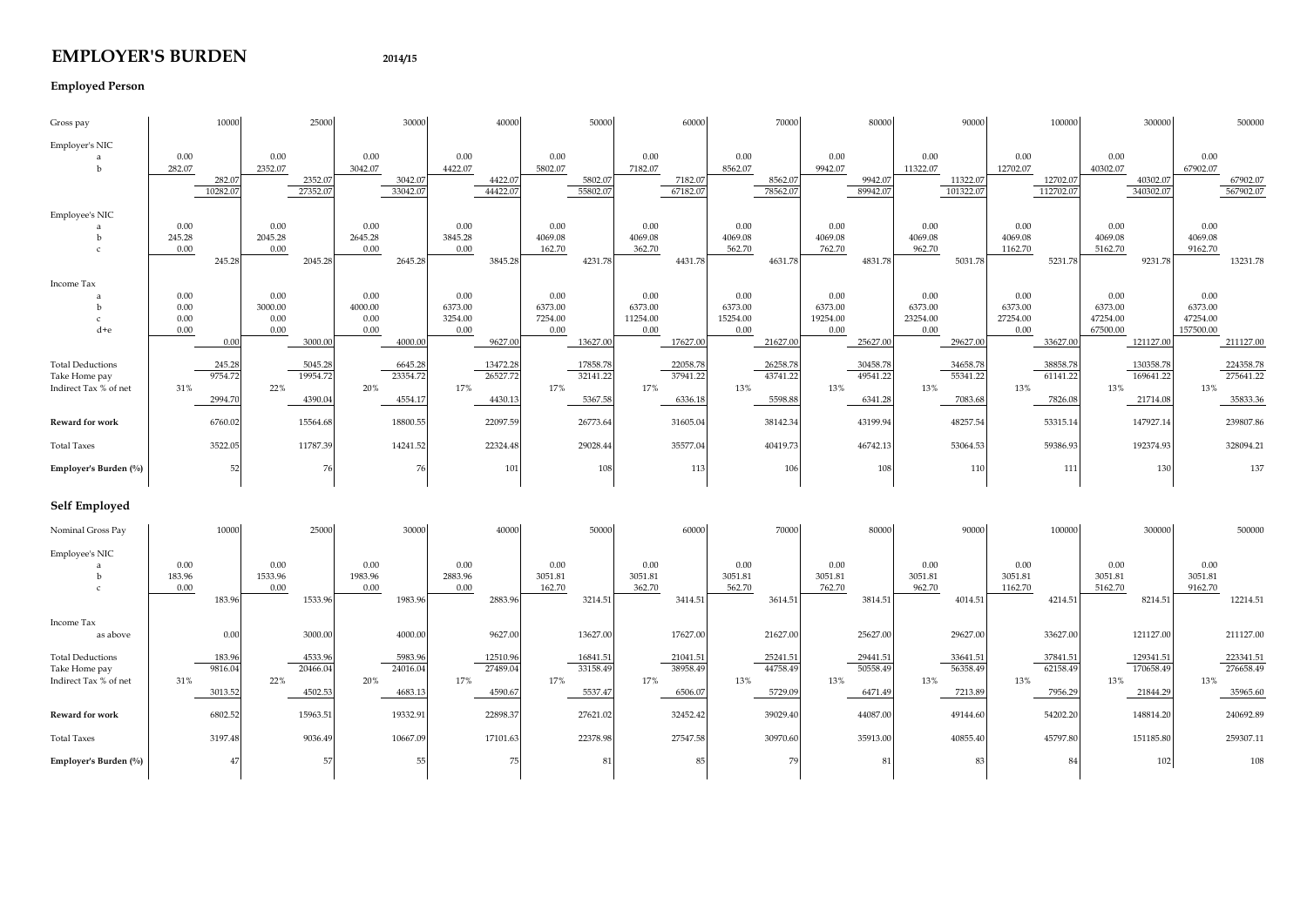### **EMPLOYER'S BURDEN 2014/15**

#### **Employed Person**

| Gross pay                                                         |                              | 10000                        |                                 | 25000                          |                                 | 30000                         |                                    | 40000                           |                                    | 50000                           |                                     | 60000                           |                                     | 70000                           |                                     | 80000                           |                                     | 90000                           |                                     | 100000                          |                                         | 300000                             |                                          | 500000                             |
|-------------------------------------------------------------------|------------------------------|------------------------------|---------------------------------|--------------------------------|---------------------------------|-------------------------------|------------------------------------|---------------------------------|------------------------------------|---------------------------------|-------------------------------------|---------------------------------|-------------------------------------|---------------------------------|-------------------------------------|---------------------------------|-------------------------------------|---------------------------------|-------------------------------------|---------------------------------|-----------------------------------------|------------------------------------|------------------------------------------|------------------------------------|
| Employer's NIC<br>b                                               | 0.00<br>282.07               | 282.07<br>10282.07           | 0.00<br>2352.07                 | 2352.07<br>27352.07            | 0.00<br>3042.07                 | 3042.07<br>33042.07           | 0.00<br>4422.07                    | 4422.07<br>44422.07             | 0.00<br>5802.07                    | 5802.07<br>55802.07             | 0.00<br>7182.07                     | 7182.07<br>67182.07             | 0.00<br>8562.07                     | 8562.07<br>78562.07             | 0.00<br>9942.07                     | 9942.07<br>89942.07             | 0.00<br>11322.07                    | 11322.07<br>101322.07           | 0.00<br>12702.07                    | 12702.07<br>112702.07           | 0.00<br>40302.07                        | 40302.07<br>340302.07              | 0.00<br>67902.07                         | 67902.07<br>567902.07              |
| Employee's NIC<br>b                                               | 0.00<br>245.28<br>0.00       | 245.28                       | 0.00<br>2045.28<br>0.00         | 2045.28                        | 0.00<br>2645.28<br>0.00         | 2645.28                       | 0.00<br>3845.28<br>0.00            | 3845.28                         | 0.00<br>4069.08<br>162.70          | 4231.78                         | 0.00<br>4069.08<br>362.70           | 4431.78                         | 0.00<br>4069.08<br>562.70           | 4631.78                         | 0.00<br>4069.08<br>762.70           | 4831.78                         | 0.00<br>4069.08<br>962.70           | 5031.78                         | 0.00<br>4069.08<br>1162.70          | 5231.78                         | 0.00<br>4069.08<br>5162.70              | 9231.78                            | 0.00<br>4069.08<br>9162.70               | 13231.78                           |
| Income Tax<br>-b<br>$\mathcal{C}$<br>d+e                          | 0.00<br>0.00<br>0.00<br>0.00 | 0.00                         | 0.00<br>3000.00<br>0.00<br>0.00 | 3000.00                        | 0.00<br>4000.00<br>0.00<br>0.00 | 4000.00                       | 0.00<br>6373.00<br>3254.00<br>0.00 | 9627.00                         | 0.00<br>6373.00<br>7254.00<br>0.00 | 13627.00                        | 0.00<br>6373.00<br>11254.00<br>0.00 | 17627.00                        | 0.00<br>6373.00<br>15254.00<br>0.00 | 21627.00                        | 0.00<br>6373.00<br>19254.00<br>0.00 | 25627.0                         | 0.00<br>6373.00<br>23254.00<br>0.00 | 29627.00                        | 0.00<br>6373.00<br>27254.00<br>0.00 | 33627.00                        | 0.00<br>6373.00<br>47254.00<br>67500.00 | 121127.00                          | 0.00<br>6373.00<br>47254.00<br>157500.00 | 211127.00                          |
| <b>Total Deductions</b><br>Take Home pay<br>Indirect Tax % of net | 31%                          | 245.28<br>9754.72<br>2994.70 | 22%                             | 5045.28<br>19954.72<br>4390.04 | 20%                             | 6645.28<br>23354.7<br>4554.17 | 17%                                | 13472.28<br>26527.72<br>4430.13 | 17%                                | 17858.78<br>32141.22<br>5367.58 | 17%                                 | 22058.78<br>37941.22<br>6336.18 | 13%                                 | 26258.78<br>43741.22<br>5598.88 | 13%                                 | 30458.7<br>49541.22<br>6341.28  | 13%                                 | 34658.78<br>55341.22<br>7083.68 | 13%                                 | 38858.78<br>61141.22<br>7826.08 | 13%                                     | 130358.78<br>169641.22<br>21714.08 | 13%                                      | 224358.78<br>275641.22<br>35833.36 |
| Reward for work                                                   |                              | 6760.02                      |                                 | 15564.68                       |                                 | 18800.55                      |                                    | 22097.59                        |                                    | 26773.64                        |                                     | 31605.04                        |                                     | 38142.34                        |                                     | 43199.94                        |                                     | 48257.54                        |                                     | 53315.14                        |                                         | 147927.14                          |                                          | 239807.86                          |
| <b>Total Taxes</b>                                                |                              | 3522.05                      |                                 | 11787.39                       |                                 | 14241.52                      |                                    | 22324.48                        |                                    | 29028.44                        |                                     | 35577.04                        |                                     | 40419.73                        |                                     | 46742.13                        |                                     | 53064.53                        |                                     | 59386.93                        |                                         | 192374.93                          |                                          | 328094.21                          |
| Employer's Burden (%)                                             |                              | 52                           |                                 | 76                             |                                 | 76                            |                                    | 101                             |                                    | 108                             |                                     | 113                             |                                     | 106                             |                                     | 108                             |                                     | 110                             |                                     | 111                             |                                         | 130                                |                                          | 137                                |
| Self Employed                                                     |                              |                              |                                 |                                |                                 |                               |                                    |                                 |                                    |                                 |                                     |                                 |                                     |                                 |                                     |                                 |                                     |                                 |                                     |                                 |                                         |                                    |                                          |                                    |
| Nominal Gross Pay                                                 |                              | 10000                        |                                 | 25000                          |                                 | 30000                         |                                    | 40000                           |                                    | 50000                           |                                     | 60000                           |                                     | 70000                           |                                     | 80000                           |                                     | 90000                           |                                     | 100000                          |                                         | 300000                             |                                          | 500000                             |
| Employee's NIC<br>a<br><sub>b</sub><br>$\epsilon$                 | 0.00<br>183.96<br>0.00       | 183.96                       | 0.00<br>1533.96<br>0.00         | 1533.96                        | 0.00<br>1983.96<br>0.00         | 1983.96                       | 0.00<br>2883.96<br>0.00            | 2883.96                         | 0.00<br>3051.81<br>162.70          | 3214.51                         | 0.00<br>3051.81<br>362.70           | 3414.51                         | 0.00<br>3051.81<br>562.70           | 3614.51                         | 0.00<br>3051.81<br>762.70           | 3814.51                         | 0.00<br>3051.81<br>962.70           | 4014.51                         | 0.00<br>3051.81<br>1162.70          | 4214.51                         | 0.00<br>3051.81<br>5162.70              | 8214.51                            | 0.00<br>3051.81<br>9162.70               | 12214.51                           |
| Income Tax<br>as above                                            |                              | 0.00                         |                                 | 3000.00                        |                                 | 4000.00                       |                                    | 9627.00                         |                                    | 13627.00                        |                                     | 17627.00                        |                                     | 21627.00                        |                                     | 25627.00                        |                                     | 29627.00                        |                                     | 33627.00                        |                                         | 121127.00                          |                                          | 211127.00                          |
| <b>Total Deductions</b><br>Take Home pay<br>Indirect Tax % of net | 31%                          | 183.96<br>9816.04<br>3013.52 | 22%                             | 4533.96<br>20466.04<br>4502.53 | 20%                             | 5983.96<br>24016.0<br>4683.1  | 17%                                | 12510.96<br>27489.04<br>4590.67 | 17%                                | 16841.51<br>33158.49<br>5537.47 | 17%                                 | 21041.51<br>38958.49<br>6506.07 | 13%                                 | 25241.51<br>44758.49<br>5729.09 | 13%                                 | 29441.51<br>50558.49<br>6471.49 | 13%                                 | 33641.51<br>56358.49<br>7213.89 | 13%                                 | 37841.51<br>62158.49<br>7956.29 | 13%                                     | 129341.51<br>170658.49<br>21844.29 | 13%                                      | 223341.51<br>276658.49<br>35965.60 |
| Reward for work                                                   |                              | 6802.52                      |                                 | 15963.51                       |                                 | 19332.91                      |                                    | 22898.37                        |                                    | 27621.02                        |                                     | 32452.42                        |                                     | 39029.40                        |                                     | 44087.00                        |                                     | 49144.60                        |                                     | 54202.20                        |                                         | 148814.20                          |                                          | 240692.89                          |
| <b>Total Taxes</b>                                                |                              | 3197.48                      |                                 | 9036.49                        |                                 | 10667.09                      |                                    | 17101.63                        |                                    | 22378.98                        |                                     | 27547.58                        |                                     | 30970.60                        |                                     | 35913.00                        |                                     | 40855.40                        |                                     | 45797.80                        |                                         | 151185.80                          |                                          | 259307.11                          |
| Employer's Burden (%)                                             |                              | 47                           |                                 | 57                             |                                 | 55                            |                                    | 75                              |                                    | 81                              |                                     | 85                              |                                     | 79                              |                                     | 81                              |                                     | 83                              |                                     | 84                              |                                         | 102                                |                                          | 108                                |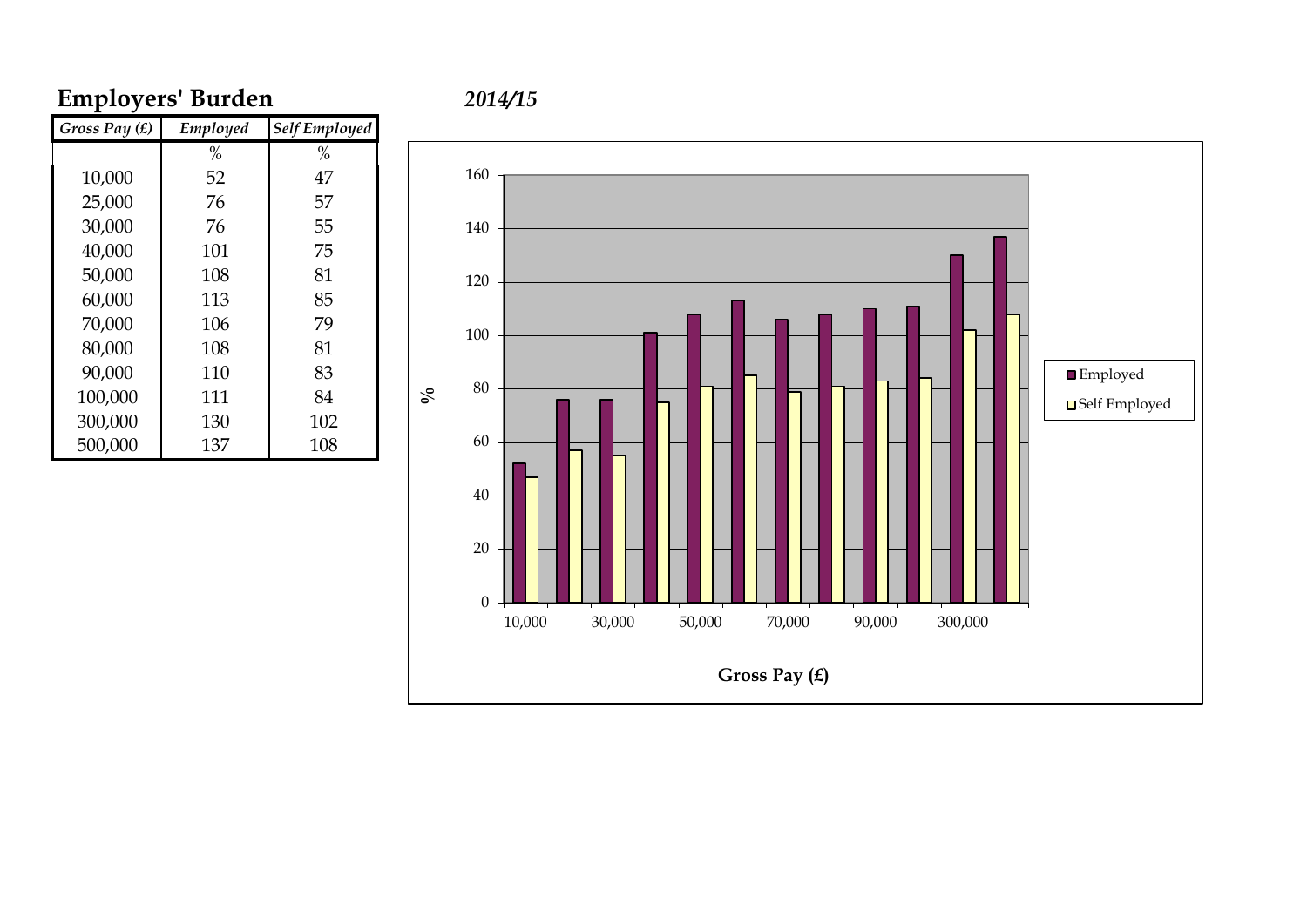# **Employers' Burden** *2014/15*

| Gross Pay (£) | Employed | <b>Self Employed</b> |
|---------------|----------|----------------------|
|               | $\%$     | %                    |
| 10,000        | 52       | 47                   |
| 25,000        | 76       | 57                   |
| 30,000        | 76       | 55                   |
| 40,000        | 101      | 75                   |
| 50,000        | 108      | 81                   |
| 60,000        | 113      | 85                   |
| 70,000        | 106      | 79                   |
| 80,000        | 108      | 81                   |
| 90,000        | 110      | 83                   |
| 100,000       | 111      | 84                   |
| 300,000       | 130      | 102                  |
| 500,000       | 137      | 108                  |

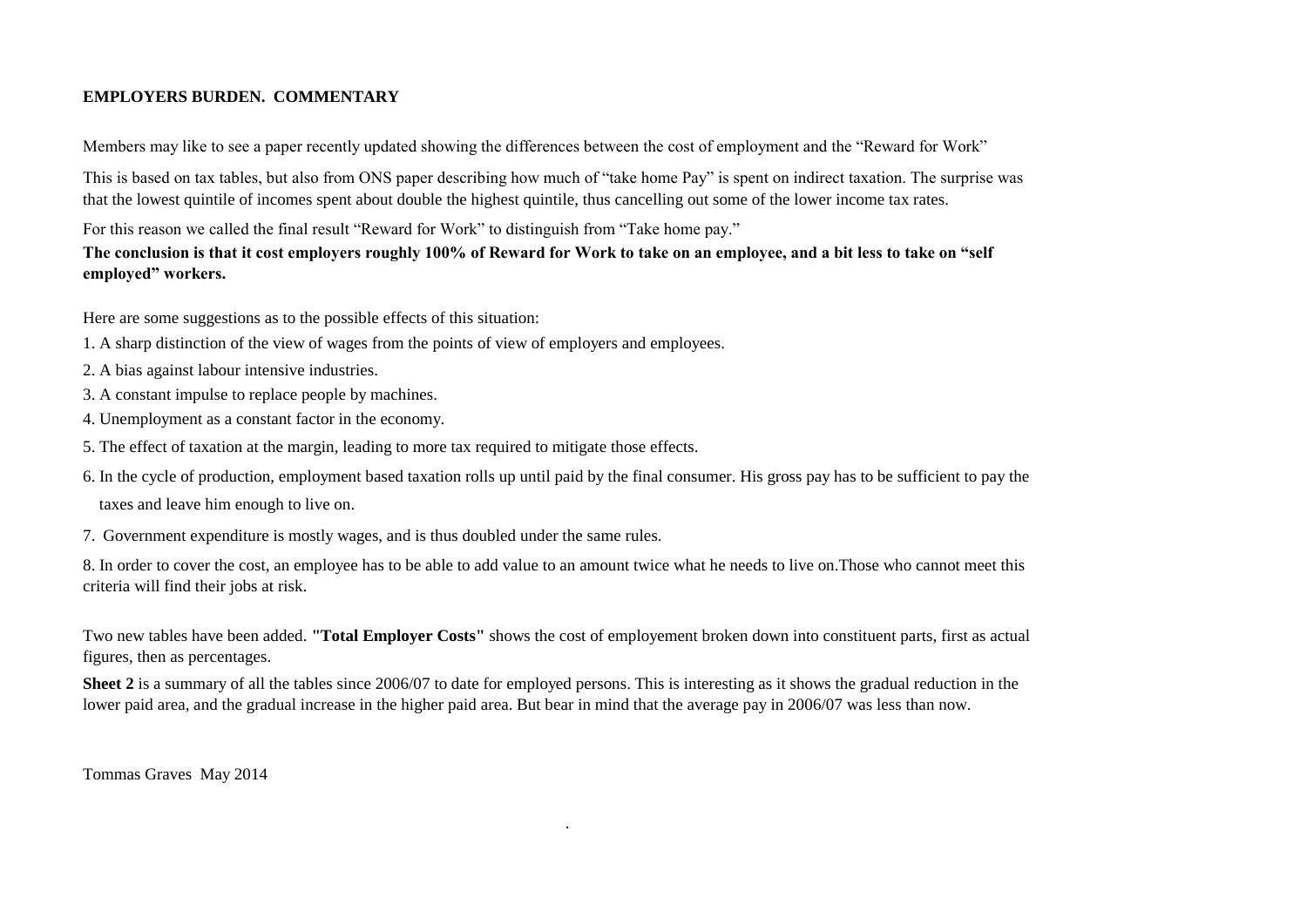#### **EMPLOYERS BURDEN. COMMENTARY**

Members may like to see a paper recently updated showing the differences between the cost of employment and the "Reward for Work"

This is based on tax tables, but also from ONS paper describing how much of "take home Pay" is spent on indirect taxation. The surprise was that the lowest quintile of incomes spent about double the highest quintile, thus cancelling out some of the lower income tax rates.

For this reason we called the final result "Reward for Work" to distinguish from "Take home pay."

**The conclusion is that it cost employers roughly 100% of Reward for Work to take on an employee, and a bit less to take on "self employed" workers.**

Here are some suggestions as to the possible effects of this situation:

- 1. A sharp distinction of the view of wages from the points of view of employers and employees.
- 2. A bias against labour intensive industries.
- 3. A constant impulse to replace people by machines.
- 4. Unemployment as a constant factor in the economy.
- 5. The effect of taxation at the margin, leading to more tax required to mitigate those effects.
- 6. In the cycle of production, employment based taxation rolls up until paid by the final consumer. His gross pay has to be sufficient to pay the taxes and leave him enough to live on.
- 7. Government expenditure is mostly wages, and is thus doubled under the same rules.

8. In order to cover the cost, an employee has to be able to add value to an amount twice what he needs to live on.Those who cannot meet this criteria will find their jobs at risk.

Two new tables have been added. **"Total Employer Costs"** shows the cost of employement broken down into constituent parts, first as actual figures, then as percentages.

**Sheet 2** is a summary of all the tables since 2006/07 to date for employed persons. This is interesting as it shows the gradual reduction in the lower paid area, and the gradual increase in the higher paid area. But bear in mind that the average pay in 2006/07 was less than now.

.

l, Tommas Graves May 2014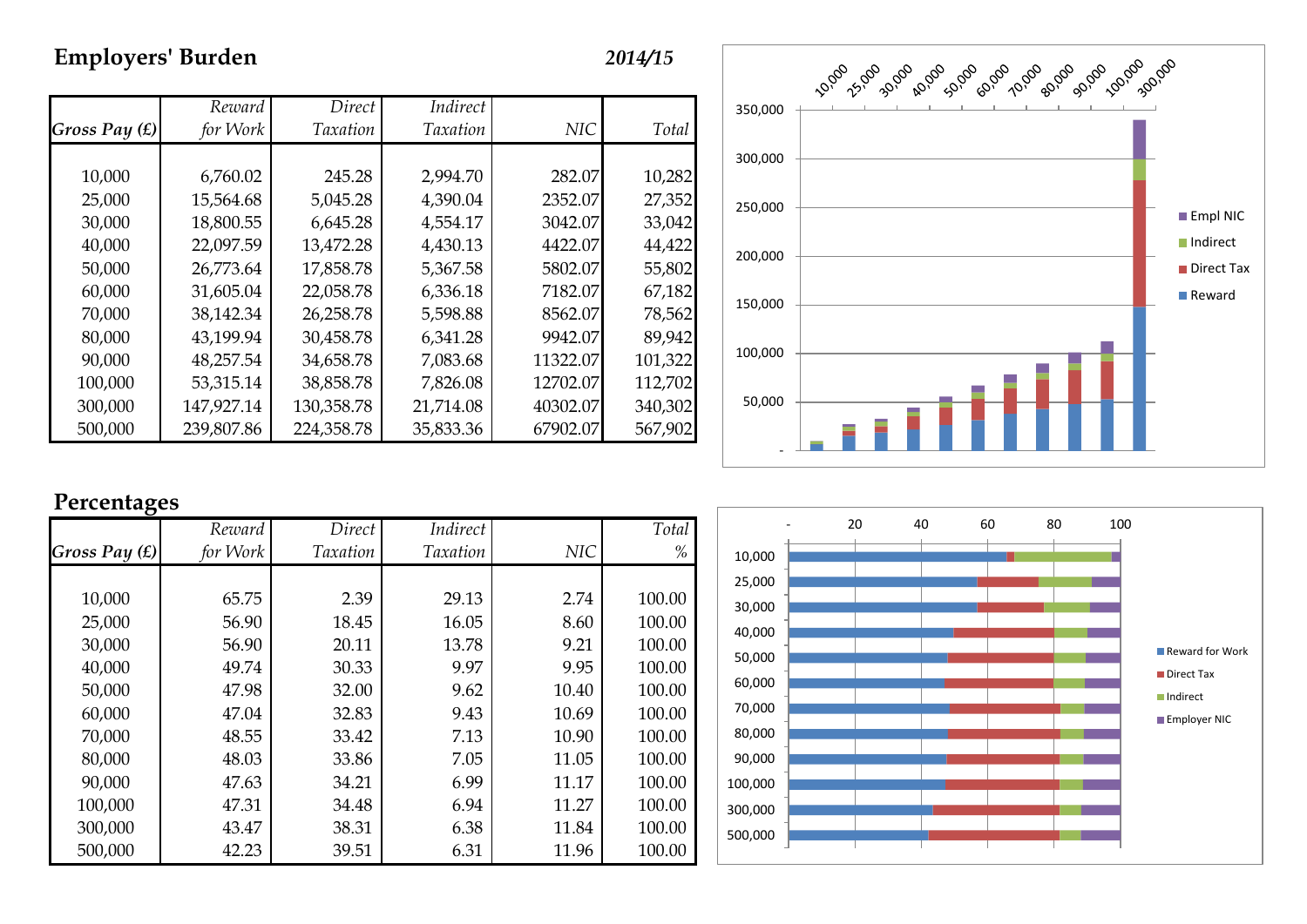## **Employers' Burden** *2014/15*

|                 | Reward     | Direct          | Indirect        |            |         |
|-----------------|------------|-----------------|-----------------|------------|---------|
| Gross Pay $(f)$ | for Work   | <b>Taxation</b> | <b>Taxation</b> | <b>NIC</b> | Total   |
|                 |            |                 |                 |            |         |
| 10,000          | 6,760.02   | 245.28          | 2,994.70        | 282.07     | 10,282  |
| 25,000          | 15,564.68  | 5,045.28        | 4,390.04        | 2352.07    | 27,352  |
| 30,000          | 18,800.55  | 6,645.28        | 4,554.17        | 3042.07    | 33,042  |
| 40,000          | 22,097.59  | 13,472.28       | 4,430.13        | 4422.07    | 44,422  |
| 50,000          | 26,773.64  | 17,858.78       | 5,367.58        | 5802.07    | 55,802  |
| 60,000          | 31,605.04  | 22,058.78       | 6,336.18        | 7182.07    | 67,182  |
| 70,000          | 38,142.34  | 26,258.78       | 5,598.88        | 8562.07    | 78,562  |
| 80,000          | 43,199.94  | 30,458.78       | 6,341.28        | 9942.07    | 89,942  |
| 90,000          | 48,257.54  | 34,658.78       | 7,083.68        | 11322.07   | 101,322 |
| 100,000         | 53,315.14  | 38,858.78       | 7,826.08        | 12702.07   | 112,702 |
| 300,000         | 147,927.14 | 130,358.78      | 21,714.08       | 40302.07   | 340,302 |
| 500,000         | 239,807.86 | 224,358.78      | 35,833.36       | 67902.07   | 567,902 |



## **Percentages**

|               | Reward   | Direct          | Indirect        |            | Total  |
|---------------|----------|-----------------|-----------------|------------|--------|
| Gross Pay (£) | for Work | <b>Taxation</b> | <b>Taxation</b> | <b>NIC</b> | %      |
|               |          |                 |                 |            |        |
| 10,000        | 65.75    | 2.39            | 29.13           | 2.74       | 100.00 |
| 25,000        | 56.90    | 18.45           | 16.05           | 8.60       | 100.00 |
| 30,000        | 56.90    | 20.11           | 13.78           | 9.21       | 100.00 |
| 40,000        | 49.74    | 30.33           | 9.97            | 9.95       | 100.00 |
| 50,000        | 47.98    | 32.00           | 9.62            | 10.40      | 100.00 |
| 60,000        | 47.04    | 32.83           | 9.43            | 10.69      | 100.00 |
| 70,000        | 48.55    | 33.42           | 7.13            | 10.90      | 100.00 |
| 80,000        | 48.03    | 33.86           | 7.05            | 11.05      | 100.00 |
| 90,000        | 47.63    | 34.21           | 6.99            | 11.17      | 100.00 |
| 100,000       | 47.31    | 34.48           | 6.94            | 11.27      | 100.00 |
| 300,000       | 43.47    | 38.31           | 6.38            | 11.84      | 100.00 |
| 500,000       | 42.23    | 39.51           | 6.31            | 11.96      | 100.00 |